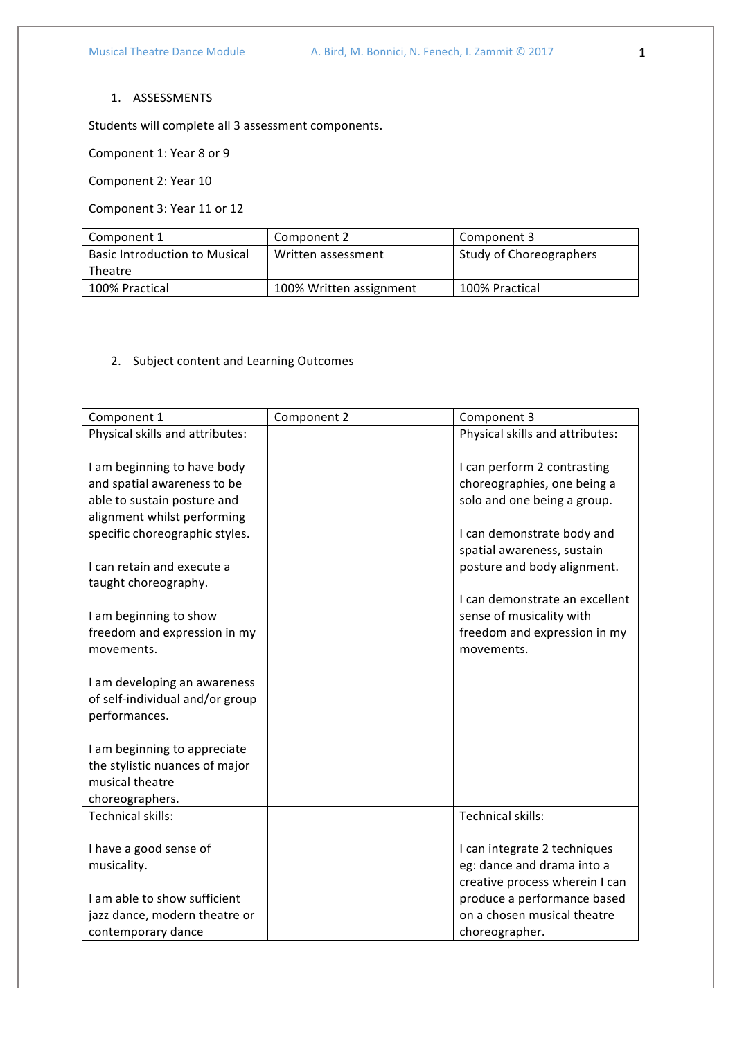## 1. ASSESSMENTS

Students will complete all 3 assessment components.

Component 1: Year 8 or 9

Component 2: Year 10

Component 3: Year 11 or 12

| Component 1                          | Component 2             | Component 3                    |
|--------------------------------------|-------------------------|--------------------------------|
| <b>Basic Introduction to Musical</b> | Written assessment      | <b>Study of Choreographers</b> |
| Theatre                              |                         |                                |
| 100% Practical                       | 100% Written assignment | 100% Practical                 |

## 2. Subject content and Learning Outcomes

| Component 1                                 | Component 2 | Component 3                     |
|---------------------------------------------|-------------|---------------------------------|
| Physical skills and attributes:             |             | Physical skills and attributes: |
|                                             |             |                                 |
| I am beginning to have body                 |             | I can perform 2 contrasting     |
| and spatial awareness to be                 |             | choreographies, one being a     |
| able to sustain posture and                 |             | solo and one being a group.     |
| alignment whilst performing                 |             |                                 |
| specific choreographic styles.              |             | I can demonstrate body and      |
|                                             |             | spatial awareness, sustain      |
| I can retain and execute a                  |             | posture and body alignment.     |
| taught choreography.                        |             |                                 |
|                                             |             | I can demonstrate an excellent  |
| I am beginning to show                      |             | sense of musicality with        |
| freedom and expression in my                |             | freedom and expression in my    |
| movements.                                  |             | movements.                      |
|                                             |             |                                 |
| I am developing an awareness                |             |                                 |
| of self-individual and/or group             |             |                                 |
| performances.                               |             |                                 |
|                                             |             |                                 |
| I am beginning to appreciate                |             |                                 |
| the stylistic nuances of major              |             |                                 |
| musical theatre                             |             |                                 |
| choreographers.<br><b>Technical skills:</b> |             | <b>Technical skills:</b>        |
|                                             |             |                                 |
| I have a good sense of                      |             | I can integrate 2 techniques    |
| musicality.                                 |             | eg: dance and drama into a      |
|                                             |             | creative process wherein I can  |
| I am able to show sufficient                |             | produce a performance based     |
| jazz dance, modern theatre or               |             | on a chosen musical theatre     |
| contemporary dance                          |             | choreographer.                  |